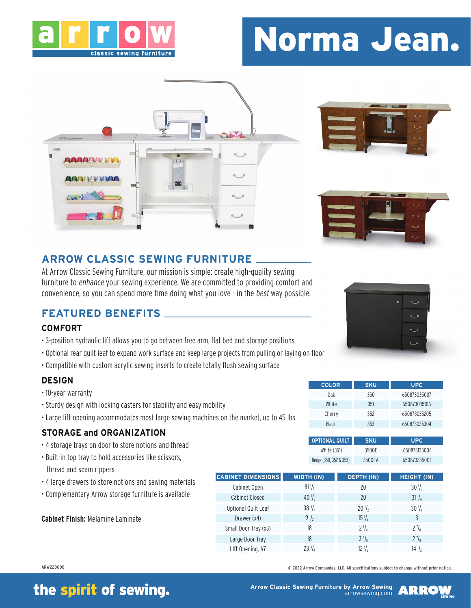

# Norma Jean.







## **ARROW CLASSIC SEWING FURNITURE**

At Arrow Classic Sewing Furniture, our mission is simple: create high-quality sewing furniture to enhance your sewing experience. We are committed to providing comfort and convenience, so you can spend more time doing what you love - in the best way possible.

### **FEATURED BENEFITS**

### **COMFORT**

- 3-position hydraulic lift allows you to go between free arm, flat bed and storage positions
- Optional rear quilt leaf to expand work surface and keep large projects from pulling or laying on floor
- Compatible with custom acrylic sewing inserts to create totally flush sewing surface

### **DESIGN**

- 10-year warranty
- Sturdy design with locking casters for stability and easy mobility
- Large lift opening accommodates most large sewing machines on the market, up to 45 lbs

### **STORAGE and ORGANIZATION**

- 4 storage trays on door to store notions and thread
- Built-in top tray to hold accessories like scissors, thread and seam rippers
- 4 large drawers to store notions and sewing materials
- Complementary Arrow storage furniture is available

**Cabinet Finish:** Melamine Laminate



| <b>COLOR</b> | <b>SKU</b> | <b>UPC</b>   |  |
|--------------|------------|--------------|--|
| 0ak          | 350        | 650873035007 |  |
| White        | 351        | 650873035106 |  |
| Cherry       | 352        | 650873035205 |  |
| <b>Black</b> | 353        | 650873035304 |  |

| <b>OPTIONAL QUILT</b>  | <b>SKU</b> | UPC.         |
|------------------------|------------|--------------|
| White (351)            | 3500F      | 650873135004 |
| Beige (350, 352 & 353) | 3500FA     | 650873235001 |

| <b>CABINET DIMENSIONS</b> | <b>WIDTH (IN)</b> | <b>DEPTH (IN)</b> | <b>HEIGHT (IN)</b> |
|---------------------------|-------------------|-------------------|--------------------|
| Cabinet Open              | $81\frac{1}{2}$   | 20                | $30\frac{1}{2}$    |
| Cabinet Closed            | $40\frac{1}{2}$   | 20                | $31\frac{1}{4}$    |
| Optional Quilt Leaf       | $38\frac{3}{4}$   | $20\frac{1}{2}$   | $30\frac{1}{4}$    |
| Drawer (x4)               | $9\frac{1}{2}$    | $15\frac{1}{2}$   | 3                  |
| Small Door Tray (x3)      | 18                | $2\frac{1}{4}$    | $2\frac{7}{8}$     |
| Large Door Tray           | 18                | $3^{3}/a$         | $2\frac{7}{8}$     |
| Llft Opening, A7          | $23^{3}/_{4}$     | $12\frac{1}{2}$   | $14\frac{1}{2}$    |

ARW22B008 © 2022 Arrow Companies, LLC. All specifications subject to change without prior notice.

## the spirit of sewing.